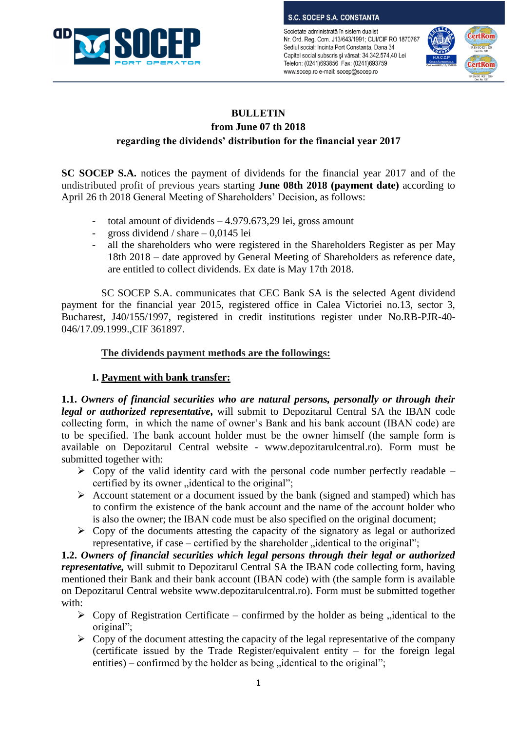

**S.C. SOCEP S.A. CONSTANTA** 

Societate administrată în sistem dualist Nr. Ord. Reg. Com. J13/643/1991; CUI/CIF RO 1870767 Sediul social: Incinta Port Constanta, Dana 34 Capital social subscris și vărsat: 34.342.574,40 Lei Telefon: (0241)693856 Fax: (0241)693759 www.socep.ro e-mail: socep@socep.ro



# **BULLETIN from June 07 th 2018 regarding the dividends' distribution for the financial year 2017**

**SC SOCEP S.A.** notices the payment of dividends for the financial year 2017 and of the undistributed profit of previous years starting **June 08th 2018 (payment date)** according to April 26 th 2018 General Meeting of Shareholders' Decision, as follows:

- total amount of dividends 4.979.673,29 lei, gross amount
- gross dividend / share 0,0145 lei
- all the shareholders who were registered in the Shareholders Register as per May 18th 2018 – date approved by General Meeting of Shareholders as reference date, are entitled to collect dividends. Ex date is May 17th 2018.

SC SOCEP S.A. communicates that CEC Bank SA is the selected Agent dividend payment for the financial year 2015, registered office in Calea Victoriei no.13, sector 3, Bucharest, J40/155/1997, registered in credit institutions register under No.RB-PJR-40- 046/17.09.1999.,CIF 361897.

## **The dividends payment methods are the followings:**

### **I. Payment with bank transfer:**

**1.1.** *Owners of financial securities who are natural persons, personally or through their legal or authorized representative***,** will submit to Depozitarul Central SA the IBAN code collecting form, in which the name of owner's Bank and his bank account (IBAN code) are to be specified. The bank account holder must be the owner himself (the sample form is available on Depozitarul Central website - www.depozitarulcentral.ro). Form must be submitted together with:

- $\triangleright$  Copy of the valid identity card with the personal code number perfectly readable certified by its owner "identical to the original";
- $\triangleright$  Account statement or a document issued by the bank (signed and stamped) which has to confirm the existence of the bank account and the name of the account holder who is also the owner; the IBAN code must be also specified on the original document;
- $\triangleright$  Copy of the documents attesting the capacity of the signatory as legal or authorized representative, if case – certified by the shareholder  $\ldots$  identical to the original";

**1.2.** *Owners of financial securities which legal persons through their legal or authorized representative*, will submit to Depozitarul Central SA the IBAN code collecting form, having mentioned their Bank and their bank account (IBAN code) with (the sample form is available on Depozitarul Central website www.depozitarulcentral.ro). Form must be submitted together with:

- $\triangleright$  Copy of Registration Certificate confirmed by the holder as being , identical to the original";
- $\triangleright$  Copy of the document attesting the capacity of the legal representative of the company (certificate issued by the Trade Register/equivalent entity  $-$  for the foreign legal entities) – confirmed by the holder as being  $,$  identical to the original";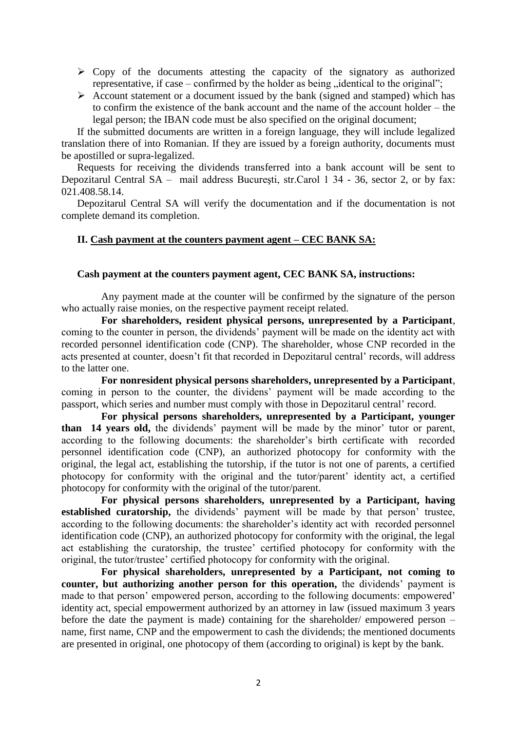- $\triangleright$  Copy of the documents attesting the capacity of the signatory as authorized representative, if case – confirmed by the holder as being  $\ldots$  identical to the original";
- $\triangleright$  Account statement or a document issued by the bank (signed and stamped) which has to confirm the existence of the bank account and the name of the account holder – the legal person; the IBAN code must be also specified on the original document;

If the submitted documents are written in a foreign language, they will include legalized translation there of into Romanian. If they are issued by a foreign authority, documents must be apostilled or supra-legalized.

Requests for receiving the dividends transferred into a bank account will be sent to Depozitarul Central SA – mail address Bucureşti, str.Carol 1 34 - 36, sector 2, or by fax: 021.408.58.14.

Depozitarul Central SA will verify the documentation and if the documentation is not complete demand its completion.

#### **II. Cash payment at the counters payment agent – CEC BANK SA:**

#### **Cash payment at the counters payment agent, CEC BANK SA, instructions:**

Any payment made at the counter will be confirmed by the signature of the person who actually raise monies, on the respective payment receipt related.

**For shareholders, resident physical persons, unrepresented by a Participant**, coming to the counter in person, the dividends' payment will be made on the identity act with recorded personnel identification code (CNP). The shareholder, whose CNP recorded in the acts presented at counter, doesn't fit that recorded in Depozitarul central' records, will address to the latter one.

**For nonresident physical persons shareholders, unrepresented by a Participant**, coming in person to the counter, the dividens' payment will be made according to the passport, which series and number must comply with those in Depozitarul central' record.

**For physical persons shareholders, unrepresented by a Participant, younger than 14 years old,** the dividends' payment will be made by the minor' tutor or parent, according to the following documents: the shareholder's birth certificate with recorded personnel identification code (CNP), an authorized photocopy for conformity with the original, the legal act, establishing the tutorship, if the tutor is not one of parents, a certified photocopy for conformity with the original and the tutor/parent' identity act, a certified photocopy for conformity with the original of the tutor/parent.

**For physical persons shareholders, unrepresented by a Participant, having**  established curatorship, the dividends' payment will be made by that person' trustee, according to the following documents: the shareholder's identity act with recorded personnel identification code (CNP), an authorized photocopy for conformity with the original, the legal act establishing the curatorship, the trustee' certified photocopy for conformity with the original, the tutor/trustee' certified photocopy for conformity with the original.

**For physical shareholders, unrepresented by a Participant, not coming to counter, but authorizing another person for this operation,** the dividends' payment is made to that person' empowered person, according to the following documents: empowered' identity act, special empowerment authorized by an attorney in law (issued maximum 3 years before the date the payment is made) containing for the shareholder/ empowered person – name, first name, CNP and the empowerment to cash the dividends; the mentioned documents are presented in original, one photocopy of them (according to original) is kept by the bank.